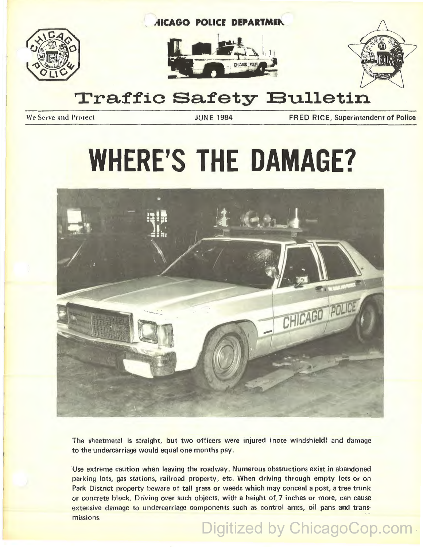

## **Traffic Safety Bulletin**

We Serve and Protect **The Superintendent of Police 1984** FRED RICE, Superintendent of Police

# **WHERE'S THE DAMAGE?**



The sheetmetal is straight, but two officers were injured (note windshield) and damage to the undercarriage would equal one months pay.

Use extreme caution when leaving the roadway. Numerous obstructions exist in abandoned parking lots, gas stations, railroad property, etc. When driving through empty lots or on Park District property beware of tall grass or weeds which may conceal a post, a tree trunk or concrete block. Driving over such objects, with a height of 7 inches or more, can cause extensive damage to undercarriage components such as control arms, oil pans and transmissions. Digitized by ChicagoCop.com